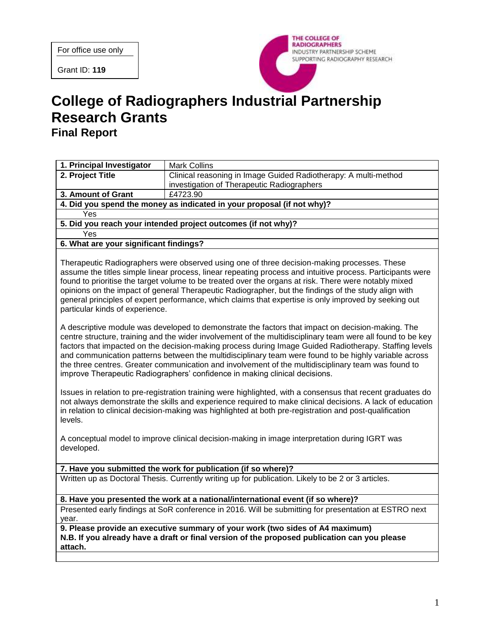Grant ID: **119**



# **College of Radiographers Industrial Partnership Research Grants Final Report**

| 1. Principal Investigator                                                                                                                                                                                                                                                                                                                                                                                                                                                                                                                                                                                                 | <b>Mark Collins</b>                                                                            |
|---------------------------------------------------------------------------------------------------------------------------------------------------------------------------------------------------------------------------------------------------------------------------------------------------------------------------------------------------------------------------------------------------------------------------------------------------------------------------------------------------------------------------------------------------------------------------------------------------------------------------|------------------------------------------------------------------------------------------------|
| 2. Project Title                                                                                                                                                                                                                                                                                                                                                                                                                                                                                                                                                                                                          | Clinical reasoning in Image Guided Radiotherapy: A multi-method                                |
|                                                                                                                                                                                                                                                                                                                                                                                                                                                                                                                                                                                                                           | investigation of Therapeutic Radiographers                                                     |
| 3. Amount of Grant                                                                                                                                                                                                                                                                                                                                                                                                                                                                                                                                                                                                        | £4723.90                                                                                       |
| 4. Did you spend the money as indicated in your proposal (if not why)?                                                                                                                                                                                                                                                                                                                                                                                                                                                                                                                                                    |                                                                                                |
| Yes                                                                                                                                                                                                                                                                                                                                                                                                                                                                                                                                                                                                                       |                                                                                                |
| 5. Did you reach your intended project outcomes (if not why)?                                                                                                                                                                                                                                                                                                                                                                                                                                                                                                                                                             |                                                                                                |
| Yes                                                                                                                                                                                                                                                                                                                                                                                                                                                                                                                                                                                                                       |                                                                                                |
| 6. What are your significant findings?                                                                                                                                                                                                                                                                                                                                                                                                                                                                                                                                                                                    |                                                                                                |
| Therapeutic Radiographers were observed using one of three decision-making processes. These<br>assume the titles simple linear process, linear repeating process and intuitive process. Participants were<br>found to prioritise the target volume to be treated over the organs at risk. There were notably mixed<br>opinions on the impact of general Therapeutic Radiographer, but the findings of the study align with<br>general principles of expert performance, which claims that expertise is only improved by seeking out<br>particular kinds of experience.                                                    |                                                                                                |
| A descriptive module was developed to demonstrate the factors that impact on decision-making. The<br>centre structure, training and the wider involvement of the multidisciplinary team were all found to be key<br>factors that impacted on the decision-making process during Image Guided Radiotherapy. Staffing levels<br>and communication patterns between the multidisciplinary team were found to be highly variable across<br>the three centres. Greater communication and involvement of the multidisciplinary team was found to<br>improve Therapeutic Radiographers' confidence in making clinical decisions. |                                                                                                |
| Issues in relation to pre-registration training were highlighted, with a consensus that recent graduates do<br>not always demonstrate the skills and experience required to make clinical decisions. A lack of education<br>in relation to clinical decision-making was highlighted at both pre-registration and post-qualification<br>levels.                                                                                                                                                                                                                                                                            |                                                                                                |
| developed.                                                                                                                                                                                                                                                                                                                                                                                                                                                                                                                                                                                                                | A conceptual model to improve clinical decision-making in image interpretation during IGRT was |
| 7. Have you submitted the work for publication (if so where)?                                                                                                                                                                                                                                                                                                                                                                                                                                                                                                                                                             |                                                                                                |
| Written up as Doctoral Thesis. Currently writing up for publication. Likely to be 2 or 3 articles.                                                                                                                                                                                                                                                                                                                                                                                                                                                                                                                        |                                                                                                |
| 8. Have you presented the work at a national/international event (if so where)?                                                                                                                                                                                                                                                                                                                                                                                                                                                                                                                                           |                                                                                                |
| Presented early findings at SoR conference in 2016. Will be submitting for presentation at ESTRO next<br>year.                                                                                                                                                                                                                                                                                                                                                                                                                                                                                                            |                                                                                                |
| 9. Please provide an executive summary of your work (two sides of A4 maximum)<br>N.B. If you already have a draft or final version of the proposed publication can you please<br>attach.                                                                                                                                                                                                                                                                                                                                                                                                                                  |                                                                                                |
|                                                                                                                                                                                                                                                                                                                                                                                                                                                                                                                                                                                                                           |                                                                                                |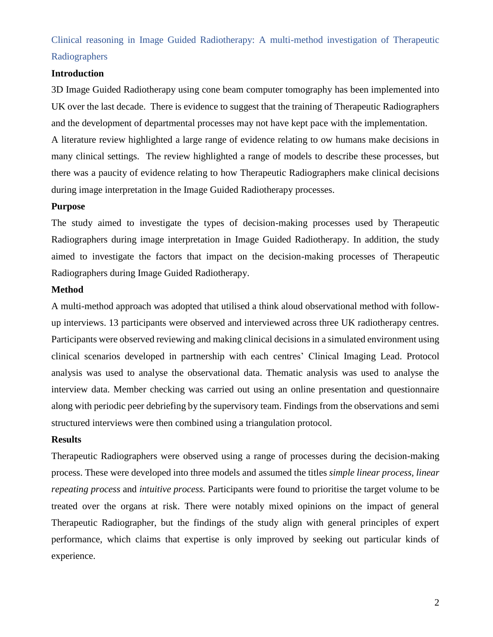# Clinical reasoning in Image Guided Radiotherapy: A multi-method investigation of Therapeutic Radiographers

### **Introduction**

3D Image Guided Radiotherapy using cone beam computer tomography has been implemented into UK over the last decade. There is evidence to suggest that the training of Therapeutic Radiographers and the development of departmental processes may not have kept pace with the implementation.

A literature review highlighted a large range of evidence relating to ow humans make decisions in many clinical settings. The review highlighted a range of models to describe these processes, but there was a paucity of evidence relating to how Therapeutic Radiographers make clinical decisions during image interpretation in the Image Guided Radiotherapy processes.

#### **Purpose**

The study aimed to investigate the types of decision-making processes used by Therapeutic Radiographers during image interpretation in Image Guided Radiotherapy. In addition, the study aimed to investigate the factors that impact on the decision-making processes of Therapeutic Radiographers during Image Guided Radiotherapy.

#### **Method**

A multi-method approach was adopted that utilised a think aloud observational method with followup interviews. 13 participants were observed and interviewed across three UK radiotherapy centres. Participants were observed reviewing and making clinical decisions in a simulated environment using clinical scenarios developed in partnership with each centres' Clinical Imaging Lead. Protocol analysis was used to analyse the observational data. Thematic analysis was used to analyse the interview data. Member checking was carried out using an online presentation and questionnaire along with periodic peer debriefing by the supervisory team. Findings from the observations and semi structured interviews were then combined using a triangulation protocol.

#### **Results**

Therapeutic Radiographers were observed using a range of processes during the decision-making process. These were developed into three models and assumed the titles *simple linear process, linear repeating process* and *intuitive process.* Participants were found to prioritise the target volume to be treated over the organs at risk. There were notably mixed opinions on the impact of general Therapeutic Radiographer, but the findings of the study align with general principles of expert performance, which claims that expertise is only improved by seeking out particular kinds of experience.